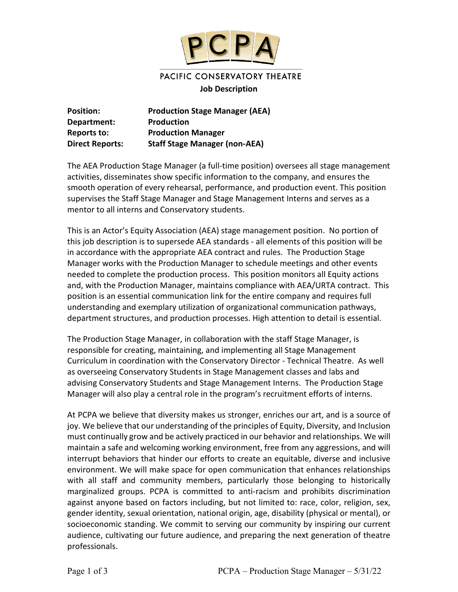

# PACIFIC CONSERVATORY THEATRE

#### **Job Description**

| <b>Position:</b>       | <b>Production Stage Manager (AEA)</b> |
|------------------------|---------------------------------------|
| Department:            | <b>Production</b>                     |
| Reports to:            | <b>Production Manager</b>             |
| <b>Direct Reports:</b> | <b>Staff Stage Manager (non-AEA)</b>  |

The AEA Production Stage Manager (a full-time position) oversees all stage management activities, disseminates show specific information to the company, and ensures the smooth operation of every rehearsal, performance, and production event. This position supervises the Staff Stage Manager and Stage Management Interns and serves as a mentor to all interns and Conservatory students.

This is an Actor's Equity Association (AEA) stage management position. No portion of this job description is to supersede AEA standards - all elements of this position will be in accordance with the appropriate AEA contract and rules. The Production Stage Manager works with the Production Manager to schedule meetings and other events needed to complete the production process. This position monitors all Equity actions and, with the Production Manager, maintains compliance with AEA/URTA contract. This position is an essential communication link for the entire company and requires full understanding and exemplary utilization of organizational communication pathways, department structures, and production processes. High attention to detail is essential.

The Production Stage Manager, in collaboration with the staff Stage Manager, is responsible for creating, maintaining, and implementing all Stage Management Curriculum in coordination with the Conservatory Director - Technical Theatre. As well as overseeing Conservatory Students in Stage Management classes and labs and advising Conservatory Students and Stage Management Interns. The Production Stage Manager will also play a central role in the program's recruitment efforts of interns.

At PCPA we believe that diversity makes us stronger, enriches our art, and is a source of joy. We believe that our understanding of the principles of Equity, Diversity, and Inclusion must continually grow and be actively practiced in our behavior and relationships. We will maintain a safe and welcoming working environment, free from any aggressions, and will interrupt behaviors that hinder our efforts to create an equitable, diverse and inclusive environment. We will make space for open communication that enhances relationships with all staff and community members, particularly those belonging to historically marginalized groups. PCPA is committed to anti-racism and prohibits discrimination against anyone based on factors including, but not limited to: race, color, religion, sex, gender identity, sexual orientation, national origin, age, disability (physical or mental), or socioeconomic standing. We commit to serving our community by inspiring our current audience, cultivating our future audience, and preparing the next generation of theatre professionals.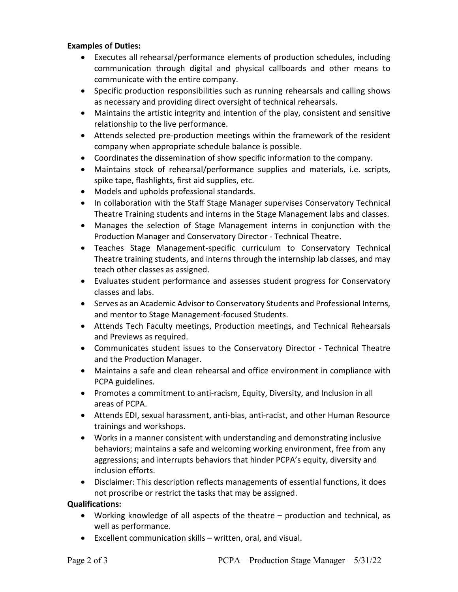#### **Examples of Duties:**

- Executes all rehearsal/performance elements of production schedules, including communication through digital and physical callboards and other means to communicate with the entire company.
- Specific production responsibilities such as running rehearsals and calling shows as necessary and providing direct oversight of technical rehearsals.
- Maintains the artistic integrity and intention of the play, consistent and sensitive relationship to the live performance.
- Attends selected pre-production meetings within the framework of the resident company when appropriate schedule balance is possible.
- Coordinates the dissemination of show specific information to the company.
- Maintains stock of rehearsal/performance supplies and materials, i.e. scripts, spike tape, flashlights, first aid supplies, etc.
- Models and upholds professional standards.
- In collaboration with the Staff Stage Manager supervises Conservatory Technical Theatre Training students and interns in the Stage Management labs and classes.
- Manages the selection of Stage Management interns in conjunction with the Production Manager and Conservatory Director - Technical Theatre.
- Teaches Stage Management-specific curriculum to Conservatory Technical Theatre training students, and interns through the internship lab classes, and may teach other classes as assigned.
- Evaluates student performance and assesses student progress for Conservatory classes and labs.
- Serves as an Academic Advisor to Conservatory Students and Professional Interns, and mentor to Stage Management-focused Students.
- Attends Tech Faculty meetings, Production meetings, and Technical Rehearsals and Previews as required.
- Communicates student issues to the Conservatory Director Technical Theatre and the Production Manager.
- Maintains a safe and clean rehearsal and office environment in compliance with PCPA guidelines.
- Promotes a commitment to anti-racism, Equity, Diversity, and Inclusion in all areas of PCPA.
- Attends EDI, sexual harassment, anti-bias, anti-racist, and other Human Resource trainings and workshops.
- Works in a manner consistent with understanding and demonstrating inclusive behaviors; maintains a safe and welcoming working environment, free from any aggressions; and interrupts behaviors that hinder PCPA's equity, diversity and inclusion efforts.
- Disclaimer: This description reflects managements of essential functions, it does not proscribe or restrict the tasks that may be assigned.

#### **Qualifications:**

- Working knowledge of all aspects of the theatre production and technical, as well as performance.
- Excellent communication skills written, oral, and visual.